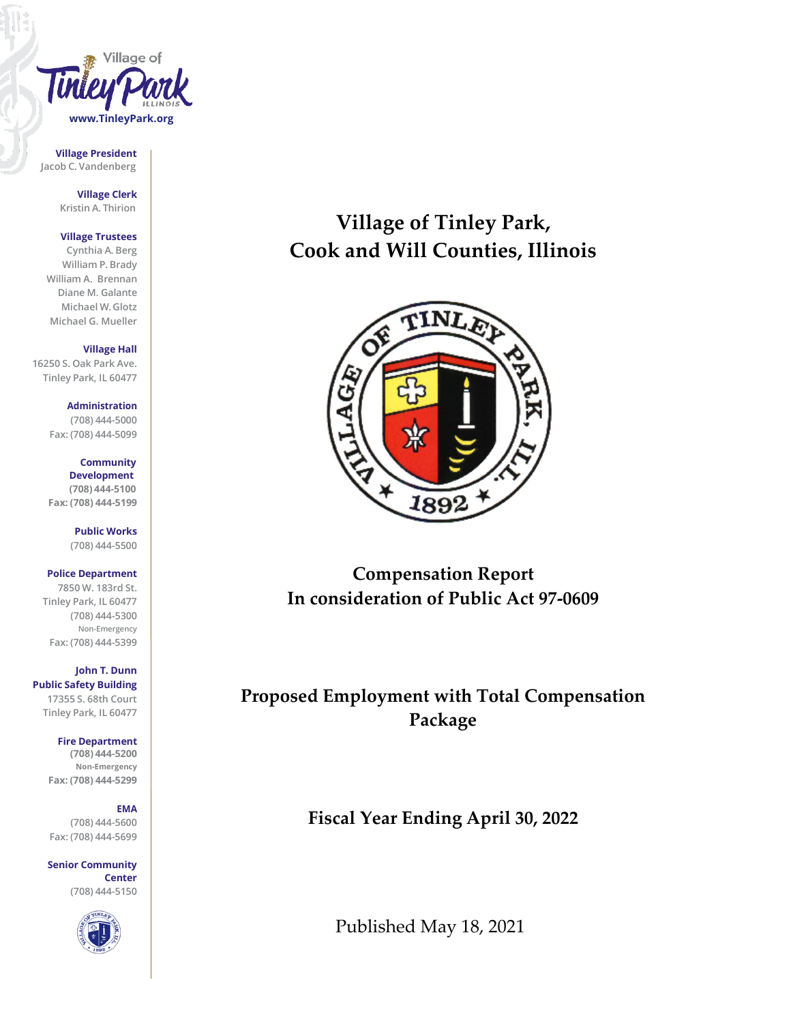

**Village President Jacob C. Vandenberg**

> **Village Clerk Kristin A. Thirion**

### **Village Trustees**

**Cynthia A. Berg William P. Brady William A. Brennan Diane M. Galante Michael W. Glotz Michael G. Mueller**

**Village Hall**

**16250 S. Oak Park Ave. Tinley Park, IL 60477**

> **Administration (708) 444-5000 Fax: (708) 444-5099**

> **Community Development (708) 444-5100 Fax: (708) 444-5199**

> > **Public Works (708) 444-5500**

# **Police Department**

**7850 W. 183rd St. Tinley Park, IL 60477 (708) 444-5300 Non-Emergency Fax: (708) 444-5399**

**John T. Dunn Public Safety Building 17355 S. 68th Court Tinley Park, IL 60477**

**Fire Department**

**(708) 444-5200 Non-Emergency Fax: (708) 444-5299**

## **EMA**

**(708) 444-5600 Fax: (708) 444-5699**

**Senior Community Center (708) 444-5150**



# **Village of Tinley Park, Cook and Will Counties, Illinois**



**Compensation Report In consideration of Public Act 97-0609**

**Proposed Employment with Total Compensation Package**

**Fiscal Year Ending April 30, 2022**

Published May 18, 2021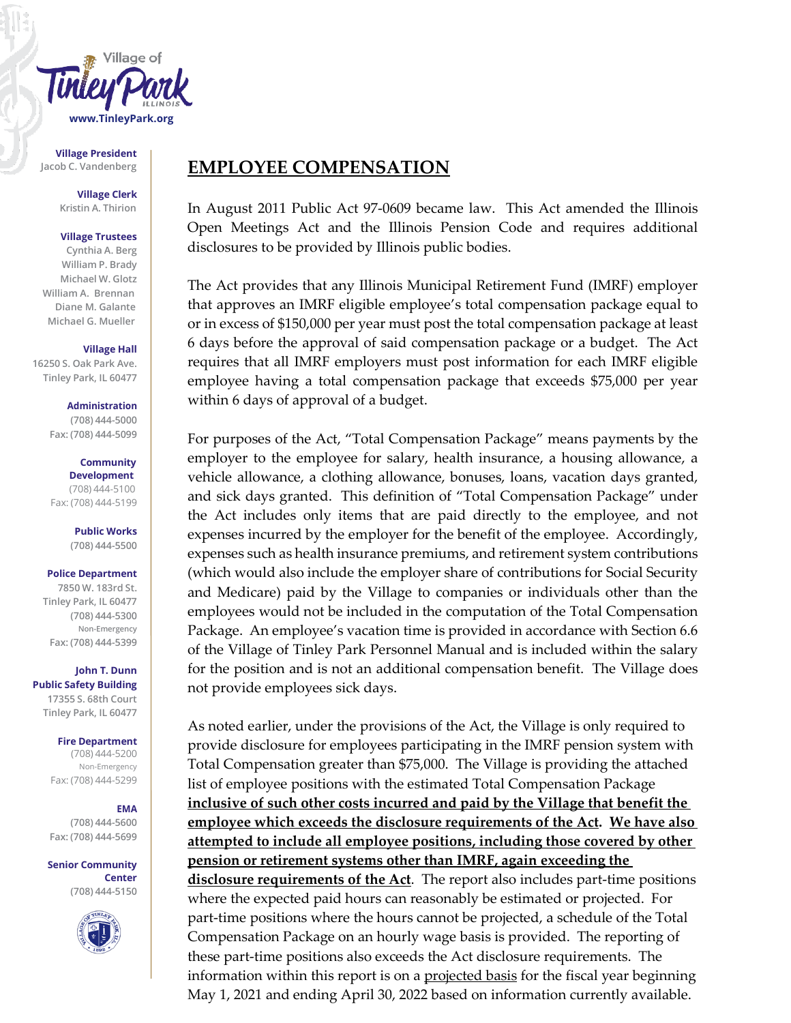

**Village President**

**Village Clerk Kristin A. Thirion**

### **Village Trustees**

**Cynthia A. Berg William P. Brady Michael W. Glotz William A. Brennan Diane M. Galante Michael G. Mueller**

### **Village Hall**

**16250 S. Oak Park Ave. Tinley Park, IL 60477**

> **Administration (708) 444-5000 Fax: (708) 444-5099**

**Community Development** (708) 444-5100 Fax: (708) 444-5199

> **Public Works (708) 444-5500**

#### **Police Department**

**7850 W. 183rd St. Tinley Park, IL 60477 (708) 444-5300 Non-Emergency Fax: (708) 444-5399**

**John T. Dunn Public Safety Building 17355 S. 68th Court Tinley Park, IL 60477**

### **Fire Department**

(708) 444-5200 Non-Emergency Fax: (708) 444-5299

## **EMA**

**(708) 444-5600 Fax: (708) 444-5699**

**Senior Community Center (708) 444-5150**



# Jacob C. Vandenberg **EMPLOYEE COMPENSATION**

In August 2011 Public Act 97-0609 became law. This Act amended the Illinois Open Meetings Act and the Illinois Pension Code and requires additional disclosures to be provided by Illinois public bodies.

The Act provides that any Illinois Municipal Retirement Fund (IMRF) employer that approves an IMRF eligible employee's total compensation package equal to or in excess of \$150,000 per year must post the total compensation package at least 6 days before the approval of said compensation package or a budget. The Act requires that all IMRF employers must post information for each IMRF eligible employee having a total compensation package that exceeds \$75,000 per year within 6 days of approval of a budget.

For purposes of the Act, "Total Compensation Package" means payments by the employer to the employee for salary, health insurance, a housing allowance, a vehicle allowance, a clothing allowance, bonuses, loans, vacation days granted, and sick days granted. This definition of "Total Compensation Package" under the Act includes only items that are paid directly to the employee, and not expenses incurred by the employer for the benefit of the employee. Accordingly, expenses such as health insurance premiums, and retirement system contributions (which would also include the employer share of contributions for Social Security and Medicare) paid by the Village to companies or individuals other than the employees would not be included in the computation of the Total Compensation Package. An employee's vacation time is provided in accordance with Section 6.6 of the Village of Tinley Park Personnel Manual and is included within the salary for the position and is not an additional compensation benefit. The Village does not provide employees sick days.

As noted earlier, under the provisions of the Act, the Village is only required to provide disclosure for employees participating in the IMRF pension system with Total Compensation greater than \$75,000. The Village is providing the attached list of employee positions with the estimated Total Compensation Package **inclusive of such other costs incurred and paid by the Village that benefit the employee which exceeds the disclosure requirements of the Act. We have also attempted to include all employee positions, including those covered by other pension or retirement systems other than IMRF, again exceeding the disclosure requirements of the Act**. The report also includes part-time positions where the expected paid hours can reasonably be estimated or projected. For part-time positions where the hours cannot be projected, a schedule of the Total Compensation Package on an hourly wage basis is provided. The reporting of these part-time positions also exceeds the Act disclosure requirements. The information within this report is on a <u>projected basis</u> for the fiscal year beginning May 1, 2021 and ending April 30, 2022 based on information currently available.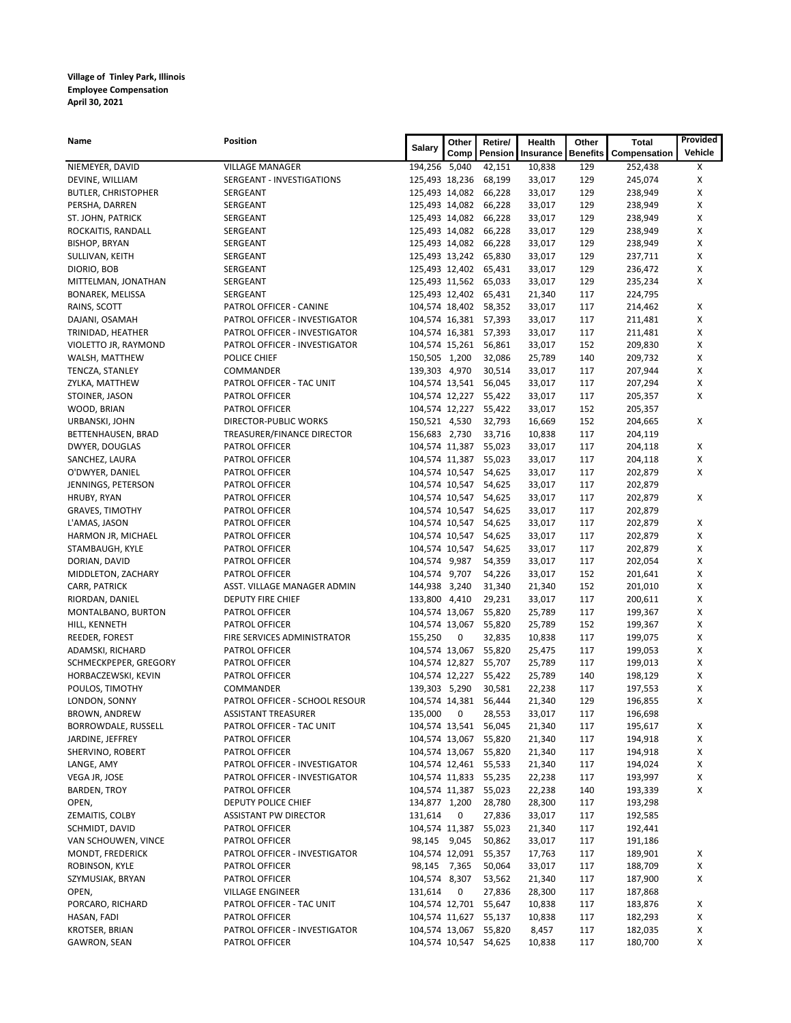| Name                       | Position                       |                | Other          | Retire/               | Health    | Other           | <b>Total</b> | Provided |
|----------------------------|--------------------------------|----------------|----------------|-----------------------|-----------|-----------------|--------------|----------|
|                            |                                | Salary         | <b>Comp</b>    | Pension               | Insurance | <b>Benefits</b> | Compensation | Vehicle  |
| NIEMEYER, DAVID            | <b>VILLAGE MANAGER</b>         | 194,256 5,040  |                | 42,151                | 10,838    | 129             | 252,438      | X        |
| DEVINE, WILLIAM            | SERGEANT - INVESTIGATIONS      | 125,493 18,236 |                | 68,199                | 33,017    | 129             | 245,074      | х        |
| <b>BUTLER, CHRISTOPHER</b> | SERGEANT                       | 125,493 14,082 |                | 66,228                | 33,017    | 129             | 238,949      | х        |
| PERSHA, DARREN             | SERGEANT                       | 125,493 14,082 |                | 66,228                | 33,017    | 129             | 238,949      | X        |
| ST. JOHN, PATRICK          | SERGEANT                       | 125,493 14,082 |                | 66,228                | 33,017    | 129             | 238,949      | х        |
| ROCKAITIS, RANDALL         | SERGEANT                       | 125,493 14,082 |                | 66,228                | 33,017    | 129             | 238,949      | Х        |
| <b>BISHOP, BRYAN</b>       | SERGEANT                       | 125,493 14,082 |                | 66,228                | 33,017    | 129             | 238,949      | х        |
| SULLIVAN, KEITH            | SERGEANT                       | 125,493 13,242 |                | 65,830                | 33,017    | 129             | 237,711      | X        |
| DIORIO, BOB                | SERGEANT                       |                |                | 125,493 12,402 65,431 | 33,017    | 129             | 236,472      | х        |
| MITTELMAN, JONATHAN        | SERGEANT                       |                |                | 125,493 11,562 65,033 | 33,017    | 129             | 235,234      | X        |
| <b>BONAREK, MELISSA</b>    | SERGEANT                       |                |                | 125,493 12,402 65,431 | 21,340    | 117             | 224,795      |          |
| RAINS, SCOTT               | PATROL OFFICER - CANINE        | 104,574 18,402 |                | 58,352                | 33,017    | 117             | 214,462      | х        |
| DAJANI, OSAMAH             | PATROL OFFICER - INVESTIGATOR  | 104,574 16,381 |                | 57,393                | 33,017    | 117             | 211,481      | х        |
| TRINIDAD, HEATHER          | PATROL OFFICER - INVESTIGATOR  | 104,574 16,381 |                | 57,393                | 33,017    | 117             | 211,481      | х        |
| VIOLETTO JR, RAYMOND       | PATROL OFFICER - INVESTIGATOR  | 104,574 15,261 |                | 56,861                | 33,017    | 152             | 209,830      | x        |
| WALSH, MATTHEW             | POLICE CHIEF                   | 150,505 1,200  |                | 32,086                | 25,789    | 140             | 209,732      | х        |
| TENCZA, STANLEY            | COMMANDER                      | 139,303 4,970  |                | 30,514                | 33,017    | 117             | 207,944      | X        |
| ZYLKA, MATTHEW             | PATROL OFFICER - TAC UNIT      | 104,574 13,541 |                | 56,045                | 33,017    | 117             | 207,294      | х        |
| STOINER, JASON             | <b>PATROL OFFICER</b>          | 104,574 12,227 |                | 55,422                | 33,017    | 117             | 205,357      | X        |
| WOOD, BRIAN                | PATROL OFFICER                 | 104,574 12,227 |                | 55,422                | 33,017    | 152             | 205,357      |          |
| URBANSKI, JOHN             | DIRECTOR-PUBLIC WORKS          | 150,521 4,530  |                | 32,793                | 16,669    | 152             | 204,665      | х        |
| BETTENHAUSEN, BRAD         | TREASURER/FINANCE DIRECTOR     | 156,683 2,730  |                | 33,716                | 10,838    | 117             | 204,119      |          |
| DWYER, DOUGLAS             | <b>PATROL OFFICER</b>          | 104,574 11,387 |                | 55,023                | 33,017    | 117             | 204,118      | х        |
| SANCHEZ, LAURA             | PATROL OFFICER                 | 104,574 11,387 |                | 55,023                | 33,017    | 117             | 204,118      | х        |
| O'DWYER, DANIEL            | PATROL OFFICER                 | 104,574 10,547 |                | 54,625                | 33,017    | 117             | 202,879      | X        |
| JENNINGS, PETERSON         | PATROL OFFICER                 | 104,574 10,547 |                | 54,625                | 33,017    | 117             | 202,879      |          |
| HRUBY, RYAN                | PATROL OFFICER                 | 104,574 10,547 |                | 54,625                | 33,017    | 117             | 202,879      | Х        |
| <b>GRAVES, TIMOTHY</b>     | PATROL OFFICER                 | 104,574 10,547 |                | 54,625                | 33,017    | 117             | 202,879      |          |
| L'AMAS, JASON              | PATROL OFFICER                 | 104,574 10,547 |                | 54,625                | 33,017    | 117             | 202,879      | х        |
| HARMON JR, MICHAEL         | PATROL OFFICER                 | 104,574 10,547 |                | 54,625                | 33,017    | 117             | 202,879      | х        |
| STAMBAUGH, KYLE            | PATROL OFFICER                 | 104,574 10,547 |                | 54,625                | 33,017    | 117             | 202,879      | X        |
| DORIAN, DAVID              | PATROL OFFICER                 | 104,574 9,987  |                | 54,359                | 33,017    | 117             | 202,054      | х        |
| MIDDLETON, ZACHARY         | PATROL OFFICER                 | 104,574 9,707  |                | 54,226                | 33,017    | 152             | 201,641      | X        |
| CARR, PATRICK              | ASST. VILLAGE MANAGER ADMIN    | 144,938 3,240  |                | 31,340                | 21,340    | 152             | 201,010      | х        |
| RIORDAN, DANIEL            | DEPUTY FIRE CHIEF              | 133,800 4,410  |                | 29,231                | 33,017    | 117             | 200,611      | х        |
| MONTALBANO, BURTON         | PATROL OFFICER                 | 104,574 13,067 |                | 55,820                | 25,789    | 117             | 199,367      | X        |
| HILL, KENNETH              | PATROL OFFICER                 | 104,574 13,067 |                | 55,820                | 25,789    | 152             | 199,367      | х        |
| REEDER, FOREST             | FIRE SERVICES ADMINISTRATOR    | 155,250        | 0              | 32,835                | 10,838    | 117             | 199,075      | Х        |
| ADAMSKI, RICHARD           | PATROL OFFICER                 | 104,574 13,067 |                | 55,820                | 25,475    | 117             | 199,053      | X        |
| SCHMECKPEPER, GREGORY      | PATROL OFFICER                 | 104,574 12,827 |                | 55,707                | 25,789    | 117             | 199,013      | X        |
| HORBACZEWSKI, KEVIN        | <b>PATROL OFFICER</b>          | 104,574 12,227 |                | 55,422                | 25,789    | 140             | 198,129      | х        |
| POULOS, TIMOTHY            | COMMANDER                      | 139,303 5,290  |                | 30,581                | 22,238    | 117             | 197,553      | х        |
| LONDON, SONNY              | PATROL OFFICER - SCHOOL RESOUR | 104,574 14,381 |                | 56,444                | 21,340    | 129             | 196,855      | X        |
| BROWN, ANDREW              | <b>ASSISTANT TREASURER</b>     | 135,000        | $\overline{0}$ | 28,553                | 33,017    | 117             | 196,698      |          |
| BORROWDALE, RUSSELL        | PATROL OFFICER - TAC UNIT      |                |                | 104,574 13,541 56,045 | 21,340    | 117             | 195,617      | х        |
| JARDINE, JEFFREY           | PATROL OFFICER                 | 104,574 13,067 |                | 55,820                | 21,340    | 117             | 194,918      | X        |
| SHERVINO, ROBERT           | PATROL OFFICER                 | 104,574 13,067 |                | 55,820                | 21,340    | 117             | 194,918      | X        |
| LANGE, AMY                 | PATROL OFFICER - INVESTIGATOR  |                |                | 104,574 12,461 55,533 | 21,340    | 117             | 194,024      | x        |
| VEGA JR, JOSE              | PATROL OFFICER - INVESTIGATOR  | 104,574 11,833 |                | 55,235                | 22,238    | 117             | 193,997      | x        |
| <b>BARDEN, TROY</b>        | PATROL OFFICER                 | 104,574 11,387 |                | 55,023                | 22,238    | 140             | 193,339      | x        |
| OPEN,                      | DEPUTY POLICE CHIEF            | 134,877 1,200  |                | 28,780                | 28,300    | 117             | 193,298      |          |
| ZEMAITIS, COLBY            | ASSISTANT PW DIRECTOR          | 131,614        | 0              | 27,836                | 33,017    | 117             | 192,585      |          |
| SCHMIDT, DAVID             | PATROL OFFICER                 | 104,574 11,387 |                | 55,023                | 21,340    | 117             | 192,441      |          |
| VAN SCHOUWEN, VINCE        | PATROL OFFICER                 | 98,145 9,045   |                | 50,862                | 33,017    | 117             | 191,186      |          |
| MONDT, FREDERICK           | PATROL OFFICER - INVESTIGATOR  | 104,574 12,091 |                | 55,357                | 17,763    | 117             | 189,901      | х        |
| ROBINSON, KYLE             | PATROL OFFICER                 | 98,145 7,365   |                | 50,064                | 33,017    | 117             | 188,709      | x        |
| SZYMUSIAK, BRYAN           | PATROL OFFICER                 | 104,574 8,307  |                | 53,562                | 21,340    | 117             | 187,900      | х        |
| OPEN,                      | <b>VILLAGE ENGINEER</b>        | 131,614        | 0              | 27,836                | 28,300    | 117             | 187,868      |          |
| PORCARO, RICHARD           | PATROL OFFICER - TAC UNIT      | 104,574 12,701 |                | 55,647                | 10,838    | 117             | 183,876      | х        |
| HASAN, FADI                | PATROL OFFICER                 | 104,574 11,627 |                | 55,137                | 10,838    | 117             | 182,293      | x        |
| KROTSER, BRIAN             | PATROL OFFICER - INVESTIGATOR  | 104,574 13,067 |                | 55,820                | 8,457     | 117             | 182,035      | X        |
| GAWRON, SEAN               | PATROL OFFICER                 |                |                | 104,574 10,547 54,625 | 10,838    | 117             | 180,700      | х        |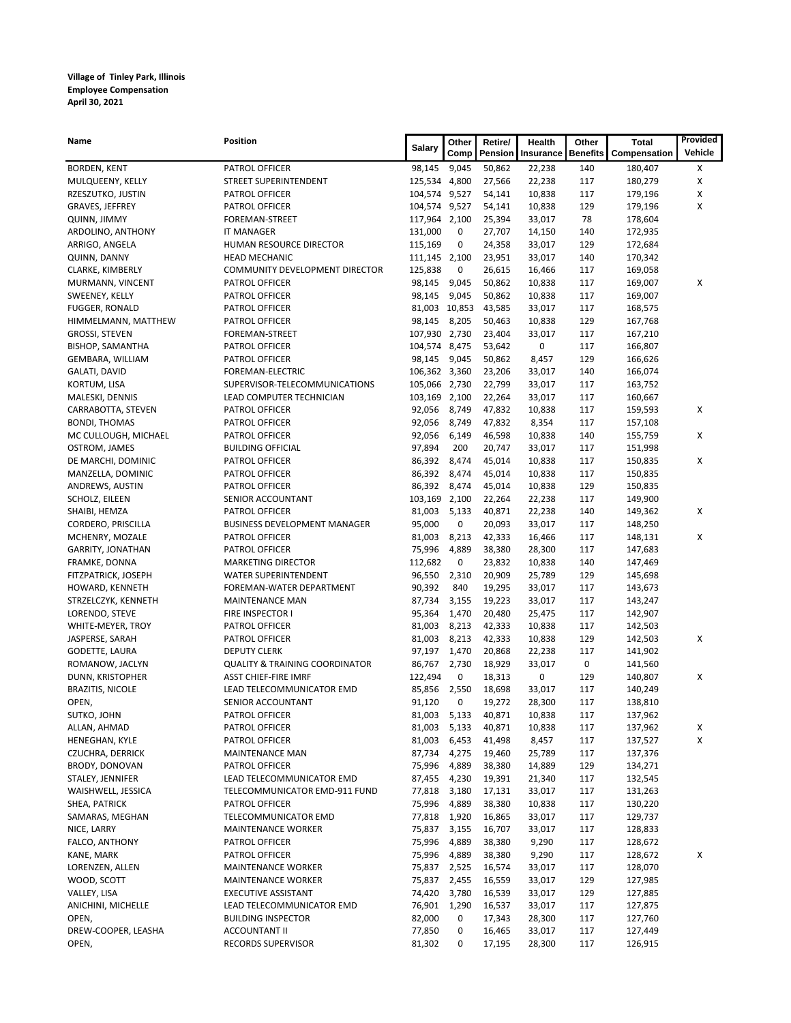| Name                                      | Position                                  | Salary           | Other          | Retire/          | Health           | Other           | Total              | Provided |
|-------------------------------------------|-------------------------------------------|------------------|----------------|------------------|------------------|-----------------|--------------------|----------|
|                                           |                                           |                  | Comp           | Pension          | Insurance        | <b>Benefits</b> | Compensation       | Vehicle  |
| <b>BORDEN, KENT</b>                       | PATROL OFFICER                            | 98,145           | 9,045          | 50,862           | 22,238           | 140             | 180,407            | Х        |
| MULQUEENY, KELLY                          | STREET SUPERINTENDENT                     | 125,534 4,800    |                | 27,566           | 22,238           | 117             | 180,279            | X        |
| RZESZUTKO, JUSTIN                         | PATROL OFFICER                            | 104,574 9,527    |                | 54,141           | 10,838           | 117             | 179,196            | х        |
| GRAVES, JEFFREY                           | PATROL OFFICER                            | 104,574 9,527    |                | 54,141           | 10,838           | 129             | 179,196            | X        |
| <b>QUINN, JIMMY</b>                       | <b>FOREMAN-STREET</b>                     | 117,964 2,100    |                | 25,394           | 33,017           | 78              | 178,604            |          |
| ARDOLINO, ANTHONY                         | <b>IT MANAGER</b>                         | 131,000          | 0              | 27,707           | 14,150           | 140             | 172,935            |          |
| ARRIGO, ANGELA                            | HUMAN RESOURCE DIRECTOR                   | 115,169          | 0              | 24,358           | 33,017           | 129             | 172,684            |          |
| QUINN, DANNY                              | <b>HEAD MECHANIC</b>                      | 111,145 2,100    |                | 23,951           | 33,017           | 140             | 170,342            |          |
| CLARKE, KIMBERLY                          | COMMUNITY DEVELOPMENT DIRECTOR            | 125,838          | 0              | 26,615           | 16,466           | 117             | 169,058            |          |
| MURMANN, VINCENT                          | PATROL OFFICER                            | 98,145<br>98,145 | 9,045<br>9,045 | 50,862<br>50,862 | 10,838           | 117<br>117      | 169,007            | Х        |
| SWEENEY, KELLY<br>FUGGER, RONALD          | PATROL OFFICER<br>PATROL OFFICER          |                  | 81,003 10,853  | 43,585           | 10,838<br>33,017 | 117             | 169,007<br>168,575 |          |
| HIMMELMANN, MATTHEW                       | PATROL OFFICER                            | 98,145           | 8,205          | 50,463           | 10,838           | 129             | 167,768            |          |
| GROSSI, STEVEN                            | FOREMAN-STREET                            | 107,930 2,730    |                | 23,404           | 33,017           | 117             | 167,210            |          |
| <b>BISHOP, SAMANTHA</b>                   | PATROL OFFICER                            | 104,574 8,475    |                | 53,642           | 0                | 117             | 166,807            |          |
| GEMBARA, WILLIAM                          | PATROL OFFICER                            | 98,145           | 9,045          | 50,862           | 8,457            | 129             | 166,626            |          |
| GALATI, DAVID                             | FOREMAN-ELECTRIC                          | 106,362 3,360    |                | 23,206           | 33,017           | 140             | 166,074            |          |
| KORTUM, LISA                              | SUPERVISOR-TELECOMMUNICATIONS             | 105,066 2,730    |                | 22,799           | 33,017           | 117             | 163,752            |          |
| MALESKI, DENNIS                           | LEAD COMPUTER TECHNICIAN                  | 103,169 2,100    |                | 22,264           | 33,017           | 117             | 160,667            |          |
| CARRABOTTA, STEVEN                        | PATROL OFFICER                            | 92,056           | 8,749          | 47,832           | 10,838           | 117             | 159,593            | Х        |
| <b>BONDI, THOMAS</b>                      | PATROL OFFICER                            | 92,056           | 8,749          | 47,832           | 8,354            | 117             | 157,108            |          |
| MC CULLOUGH, MICHAEL                      | PATROL OFFICER                            | 92,056           | 6,149          | 46,598           | 10,838           | 140             | 155,759            | Х        |
| OSTROM, JAMES                             | <b>BUILDING OFFICIAL</b>                  | 97,894           | 200            | 20,747           | 33,017           | 117             | 151,998            |          |
| DE MARCHI, DOMINIC                        | PATROL OFFICER                            | 86,392           | 8,474          | 45,014           | 10,838           | 117             | 150,835            | х        |
| MANZELLA, DOMINIC                         | PATROL OFFICER                            | 86,392           | 8,474          | 45,014           | 10,838           | 117             | 150,835            |          |
| ANDREWS, AUSTIN                           | PATROL OFFICER                            | 86,392           | 8,474          | 45,014           | 10,838           | 129             | 150,835            |          |
| SCHOLZ, EILEEN                            | SENIOR ACCOUNTANT                         | 103,169 2,100    |                | 22,264           | 22,238           | 117             | 149,900            |          |
| SHAIBI, HEMZA                             | PATROL OFFICER                            | 81,003           | 5,133          | 40,871           | 22,238           | 140             | 149,362            | Х        |
| CORDERO, PRISCILLA                        | <b>BUSINESS DEVELOPMENT MANAGER</b>       | 95,000           | 0              | 20,093           | 33,017           | 117             | 148,250            |          |
| MCHENRY, MOZALE                           | PATROL OFFICER                            | 81,003           | 8,213          | 42,333           | 16,466           | 117             | 148,131            | Х        |
| GARRITY, JONATHAN                         | PATROL OFFICER                            | 75,996           | 4,889          | 38,380           | 28,300           | 117             | 147,683            |          |
| FRAMKE, DONNA                             | MARKETING DIRECTOR                        | 112,682          | 0              | 23,832           | 10,838           | 140             | 147,469            |          |
| FITZPATRICK, JOSEPH                       | WATER SUPERINTENDENT                      | 96,550           | 2,310          | 20,909           | 25,789           | 129             | 145,698            |          |
| HOWARD, KENNETH                           | FOREMAN-WATER DEPARTMENT                  | 90,392           | 840            | 19,295           | 33,017           | 117             | 143,673            |          |
| STRZELCZYK, KENNETH                       | MAINTENANCE MAN                           | 87,734           | 3,155          | 19,223           | 33,017           | 117             | 143,247            |          |
| LORENDO, STEVE                            | FIRE INSPECTOR I                          | 95,364           | 1,470          | 20,480           | 25,475           | 117             | 142,907            |          |
| WHITE-MEYER, TROY                         | PATROL OFFICER                            | 81,003           | 8,213          | 42,333           | 10,838           | 117             | 142,503            |          |
| JASPERSE, SARAH                           | PATROL OFFICER                            | 81,003           | 8,213          | 42,333           | 10,838           | 129             | 142,503            | х        |
| GODETTE, LAURA                            | <b>DEPUTY CLERK</b>                       | 97,197           | 1,470          | 20,868           | 22,238           | 117             | 141,902            |          |
| ROMANOW, JACLYN                           | <b>QUALITY &amp; TRAINING COORDINATOR</b> | 86,767           | 2,730          | 18,929           | 33,017           | 0               | 141,560            |          |
| DUNN, KRISTOPHER                          | <b>ASST CHIEF-FIRE IMRF</b>               | 122,494          | 0              | 18,313           | 0                | 129             | 140,807            | х        |
| <b>BRAZITIS, NICOLE</b>                   | LEAD TELECOMMUNICATOR EMD                 | 85,856           | 2,550          | 18,698           | 33,017           | 117             | 140,249            |          |
| OPEN,                                     | SENIOR ACCOUNTANT                         | 91,120           | 0              | 19,272           | 28,300           | 117             | 138,810            |          |
| SUTKO, JOHN                               | PATROL OFFICER                            | 81,003 5,133     |                | 40,871           | 10,838           | 117             | 137,962            |          |
| ALLAN, AHMAD                              | PATROL OFFICER<br>PATROL OFFICER          | 81,003 5,133     |                | 40,871           | 10,838           | 117<br>117      | 137,962            | х<br>х   |
| HENEGHAN, KYLE<br><b>CZUCHRA, DERRICK</b> | MAINTENANCE MAN                           | 81,003<br>87,734 | 6,453<br>4,275 | 41,498<br>19,460 | 8,457<br>25,789  | 117             | 137,527<br>137,376 |          |
| BRODY, DONOVAN                            | PATROL OFFICER                            | 75,996           | 4,889          | 38,380           | 14,889           | 129             | 134,271            |          |
| STALEY, JENNIFER                          | LEAD TELECOMMUNICATOR EMD                 | 87,455           | 4,230          | 19,391           | 21,340           | 117             | 132,545            |          |
| WAISHWELL, JESSICA                        | TELECOMMUNICATOR EMD-911 FUND             | 77,818           | 3,180          | 17,131           | 33,017           | 117             | 131,263            |          |
| SHEA, PATRICK                             | PATROL OFFICER                            | 75,996           | 4,889          | 38,380           | 10,838           | 117             | 130,220            |          |
| SAMARAS, MEGHAN                           | TELECOMMUNICATOR EMD                      | 77,818           | 1,920          | 16,865           | 33,017           | 117             | 129,737            |          |
| NICE, LARRY                               | <b>MAINTENANCE WORKER</b>                 | 75,837           | 3,155          | 16,707           | 33,017           | 117             | 128,833            |          |
| FALCO, ANTHONY                            | PATROL OFFICER                            | 75,996           | 4,889          | 38,380           | 9,290            | 117             | 128,672            |          |
| KANE, MARK                                | PATROL OFFICER                            | 75,996           | 4,889          | 38,380           | 9,290            | 117             | 128,672            | х        |
| LORENZEN, ALLEN                           | <b>MAINTENANCE WORKER</b>                 | 75,837           | 2,525          | 16,574           | 33,017           | 117             | 128,070            |          |
| WOOD, SCOTT                               | <b>MAINTENANCE WORKER</b>                 | 75,837           | 2,455          | 16,559           | 33,017           | 129             | 127,985            |          |
| VALLEY, LISA                              | <b>EXECUTIVE ASSISTANT</b>                | 74,420           | 3,780          | 16,539           | 33,017           | 129             | 127,885            |          |
| ANICHINI, MICHELLE                        | LEAD TELECOMMUNICATOR EMD                 | 76,901           | 1,290          | 16,537           | 33,017           | 117             | 127,875            |          |
| OPEN,                                     | <b>BUILDING INSPECTOR</b>                 | 82,000           | 0              | 17,343           | 28,300           | 117             | 127,760            |          |
| DREW-COOPER, LEASHA                       | <b>ACCOUNTANT II</b>                      | 77,850           | 0              | 16,465           | 33,017           | 117             | 127,449            |          |
| OPEN,                                     | RECORDS SUPERVISOR                        | 81,302           | 0              | 17,195           | 28,300           | 117             | 126,915            |          |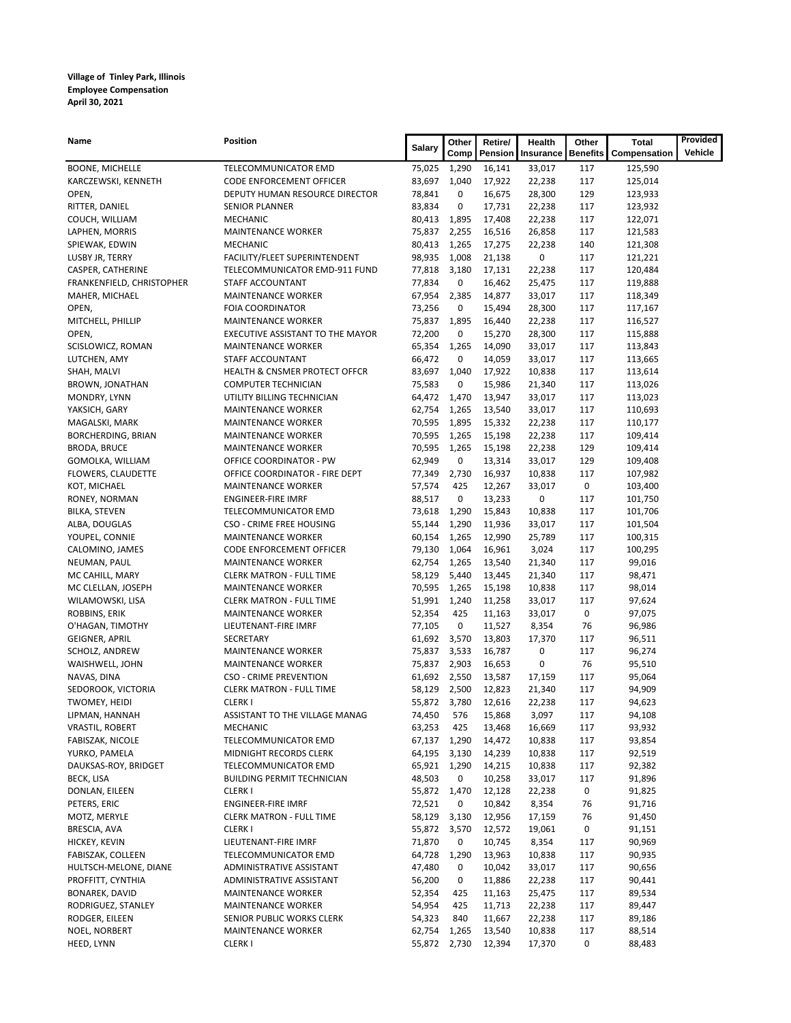| Name                              | Position                                         | Salary           | Other        | Retire/          | Health           | Other           | <b>Total</b>       | Provided |
|-----------------------------------|--------------------------------------------------|------------------|--------------|------------------|------------------|-----------------|--------------------|----------|
|                                   |                                                  |                  | Comp         | Pension          | Insurance        | <b>Benefits</b> | Compensation       | Vehicle  |
| <b>BOONE, MICHELLE</b>            | TELECOMMUNICATOR EMD                             | 75,025           | 1,290        | 16,141           | 33,017           | 117             | 125,590            |          |
| KARCZEWSKI, KENNETH               | CODE ENFORCEMENT OFFICER                         | 83,697           | 1,040        | 17,922           | 22,238           | 117             | 125,014            |          |
| OPEN,                             | DEPUTY HUMAN RESOURCE DIRECTOR                   | 78,841           | 0            | 16,675           | 28,300           | 129             | 123,933            |          |
| RITTER, DANIEL                    | SENIOR PLANNER                                   | 83,834           | 0            | 17,731           | 22,238           | 117             | 123,932            |          |
| COUCH, WILLIAM                    | MECHANIC                                         | 80,413           | 1,895        | 17,408           | 22,238           | 117             | 122,071            |          |
| LAPHEN, MORRIS                    | <b>MAINTENANCE WORKER</b>                        | 75,837           | 2,255        | 16,516           | 26,858           | 117             | 121,583            |          |
| SPIEWAK, EDWIN                    | MECHANIC                                         | 80,413           | 1,265        | 17,275           | 22,238           | 140             | 121,308            |          |
| LUSBY JR, TERRY                   | FACILITY/FLEET SUPERINTENDENT                    | 98,935           | 1,008        | 21,138           | 0                | 117             | 121,221            |          |
| CASPER, CATHERINE                 | TELECOMMUNICATOR EMD-911 FUND                    | 77,818           | 3,180        | 17,131           | 22,238           | 117             | 120,484            |          |
| FRANKENFIELD, CHRISTOPHER         | STAFF ACCOUNTANT                                 | 77,834           | 0            | 16,462           | 25,475           | 117             | 119,888            |          |
| MAHER, MICHAEL                    | <b>MAINTENANCE WORKER</b>                        | 67,954           | 2,385        | 14,877           | 33,017           | 117             | 118,349            |          |
| OPEN,                             | <b>FOIA COORDINATOR</b>                          | 73,256           | 0            | 15,494           | 28,300           | 117             | 117,167            |          |
| MITCHELL, PHILLIP                 | <b>MAINTENANCE WORKER</b>                        | 75,837           | 1,895        | 16,440           | 22,238           | 117             | 116,527            |          |
| OPEN,                             | EXECUTIVE ASSISTANT TO THE MAYOR                 | 72,200           | 0            | 15,270           | 28,300           | 117             | 115,888            |          |
| SCISLOWICZ, ROMAN<br>LUTCHEN, AMY | <b>MAINTENANCE WORKER</b><br>STAFF ACCOUNTANT    | 65,354<br>66,472 | 1,265<br>0   | 14,090<br>14,059 | 33,017<br>33,017 | 117<br>117      | 113,843<br>113,665 |          |
| SHAH, MALVI                       | <b>HEALTH &amp; CNSMER PROTECT OFFCR</b>         | 83,697           | 1,040        | 17,922           | 10,838           | 117             | 113,614            |          |
| BROWN, JONATHAN                   | <b>COMPUTER TECHNICIAN</b>                       | 75,583           | 0            | 15,986           | 21,340           | 117             | 113,026            |          |
| MONDRY, LYNN                      | UTILITY BILLING TECHNICIAN                       | 64,472           | 1,470        | 13,947           | 33,017           | 117             | 113,023            |          |
| YAKSICH, GARY                     | <b>MAINTENANCE WORKER</b>                        | 62,754           | 1,265        | 13,540           | 33,017           | 117             | 110,693            |          |
| MAGALSKI, MARK                    | <b>MAINTENANCE WORKER</b>                        | 70,595           | 1,895        | 15,332           | 22,238           | 117             | 110,177            |          |
| BORCHERDING, BRIAN                | <b>MAINTENANCE WORKER</b>                        | 70,595           | 1,265        | 15,198           | 22,238           | 117             | 109,414            |          |
| <b>BRODA, BRUCE</b>               | <b>MAINTENANCE WORKER</b>                        | 70,595           | 1,265        | 15,198           | 22,238           | 129             | 109,414            |          |
| GOMOLKA, WILLIAM                  | OFFICE COORDINATOR - PW                          | 62,949           | 0            | 13,314           | 33,017           | 129             | 109,408            |          |
| FLOWERS, CLAUDETTE                | OFFICE COORDINATOR - FIRE DEPT                   | 77,349           | 2,730        | 16,937           | 10,838           | 117             | 107,982            |          |
| KOT, MICHAEL                      | <b>MAINTENANCE WORKER</b>                        | 57,574           | 425          | 12,267           | 33,017           | 0               | 103,400            |          |
| RONEY, NORMAN                     | <b>ENGINEER-FIRE IMRF</b>                        | 88,517           | 0            | 13,233           | 0                | 117             | 101,750            |          |
| <b>BILKA, STEVEN</b>              | TELECOMMUNICATOR EMD                             | 73,618           | 1,290        | 15,843           | 10,838           | 117             | 101,706            |          |
| ALBA, DOUGLAS                     | CSO - CRIME FREE HOUSING                         | 55,144           | 1,290        | 11,936           | 33,017           | 117             | 101,504            |          |
| YOUPEL, CONNIE                    | <b>MAINTENANCE WORKER</b>                        | 60,154           | 1,265        | 12,990           | 25,789           | 117             | 100,315            |          |
| CALOMINO, JAMES                   | CODE ENFORCEMENT OFFICER                         | 79,130           | 1,064        | 16,961           | 3,024            | 117             | 100,295            |          |
| NEUMAN, PAUL                      | <b>MAINTENANCE WORKER</b>                        | 62,754           | 1,265        | 13,540           | 21,340           | 117             | 99,016             |          |
| MC CAHILL, MARY                   | <b>CLERK MATRON - FULL TIME</b>                  | 58,129           | 5,440        | 13,445           | 21,340           | 117             | 98,471             |          |
| MC CLELLAN, JOSEPH                | <b>MAINTENANCE WORKER</b>                        | 70,595           | 1,265        | 15,198           | 10,838           | 117             | 98,014             |          |
| WILAMOWSKI, LISA                  | <b>CLERK MATRON - FULL TIME</b>                  | 51,991           | 1,240        | 11,258           | 33,017           | 117             | 97,624             |          |
| ROBBINS, ERIK                     | <b>MAINTENANCE WORKER</b>                        | 52,354           | 425          | 11,163           | 33,017           | 0               | 97,075             |          |
| O'HAGAN, TIMOTHY                  | LIEUTENANT-FIRE IMRF                             | 77,105           | 0            | 11,527           | 8,354            | 76              | 96,986             |          |
| GEIGNER, APRIL                    | SECRETARY                                        | 61,692           | 3,570        | 13,803           | 17,370           | 117             | 96,511             |          |
| SCHOLZ, ANDREW                    | MAINTENANCE WORKER                               | 75,837           | 3,533        | 16,787           | 0                | 117             | 96,274             |          |
| WAISHWELL, JOHN                   | <b>MAINTENANCE WORKER</b>                        | 75,837           | 2,903        | 16,653           | 0                | 76              | 95,510             |          |
| NAVAS, DINA                       | <b>CSO - CRIME PREVENTION</b>                    |                  | 61,692 2,550 | 13,587           | 17,159           | 117             | 95,064             |          |
| SEDOROOK, VICTORIA                | <b>CLERK MATRON - FULL TIME</b>                  | 58,129           | 2,500        | 12,823           | 21,340           | 117             | 94,909             |          |
| TWOMEY, HEIDI                     | <b>CLERKI</b>                                    |                  | 55,872 3,780 | 12,616           | 22,238           | 117             | 94,623             |          |
| LIPMAN, HANNAH                    | ASSISTANT TO THE VILLAGE MANAG                   | 74,450 576       |              | 15,868           | 3,097            | 117             | 94,108             |          |
| <b>VRASTIL, ROBERT</b>            | MECHANIC                                         | 63,253           | 425          | 13,468           | 16,669           | 117             | 93,932             |          |
| FABISZAK, NICOLE                  | TELECOMMUNICATOR EMD                             | 67,137           | 1,290        | 14,472           | 10,838           | 117             | 93,854             |          |
| YURKO, PAMELA                     | MIDNIGHT RECORDS CLERK                           | 64,195           | 3,130        | 14,239           | 10,838           | 117             | 92,519             |          |
| DAUKSAS-ROY, BRIDGET              | TELECOMMUNICATOR EMD                             | 65,921           | 1,290        | 14,215           | 10,838           | 117             | 92,382             |          |
| BECK, LISA                        | <b>BUILDING PERMIT TECHNICIAN</b>                | 48,503           | 0            | 10,258           | 33,017           | 117             | 91,896             |          |
| DONLAN, EILEEN                    | <b>CLERKI</b>                                    | 55,872           | 1,470        | 12,128           | 22,238           | 0               | 91,825             |          |
| PETERS, ERIC                      | <b>ENGINEER-FIRE IMRF</b>                        | 72,521           | 0            | 10,842           | 8,354            | 76              | 91,716             |          |
| MOTZ, MERYLE                      | <b>CLERK MATRON - FULL TIME</b><br><b>CLERKI</b> | 58,129           | 3,130        | 12,956           | 17,159           | 76              | 91,450             |          |
| BRESCIA, AVA<br>HICKEY, KEVIN     | LIEUTENANT-FIRE IMRF                             | 55,872<br>71,870 | 3,570<br>0   | 12,572<br>10,745 | 19,061<br>8,354  | 0<br>117        | 91,151<br>90,969   |          |
| FABISZAK, COLLEEN                 |                                                  | 64,728           | 1,290        |                  | 10,838           | 117             | 90,935             |          |
| HULTSCH-MELONE, DIANE             | TELECOMMUNICATOR EMD<br>ADMINISTRATIVE ASSISTANT | 47,480           | 0            | 13,963<br>10,042 | 33,017           | 117             | 90,656             |          |
| PROFFITT, CYNTHIA                 | ADMINISTRATIVE ASSISTANT                         | 56,200           | 0            | 11,886           | 22,238           | 117             | 90,441             |          |
| BONAREK, DAVID                    | MAINTENANCE WORKER                               | 52,354           | 425          | 11,163           | 25,475           | 117             | 89,534             |          |
| RODRIGUEZ, STANLEY                | <b>MAINTENANCE WORKER</b>                        | 54,954           | 425          | 11,713           | 22,238           | 117             | 89,447             |          |
| RODGER, EILEEN                    | SENIOR PUBLIC WORKS CLERK                        | 54,323           | 840          | 11,667           | 22,238           | 117             | 89,186             |          |
| NOEL, NORBERT                     | MAINTENANCE WORKER                               | 62,754           | 1,265        | 13,540           | 10,838           | 117             | 88,514             |          |
| HEED, LYNN                        | <b>CLERKI</b>                                    |                  | 55,872 2,730 | 12,394           | 17,370           | 0               | 88,483             |          |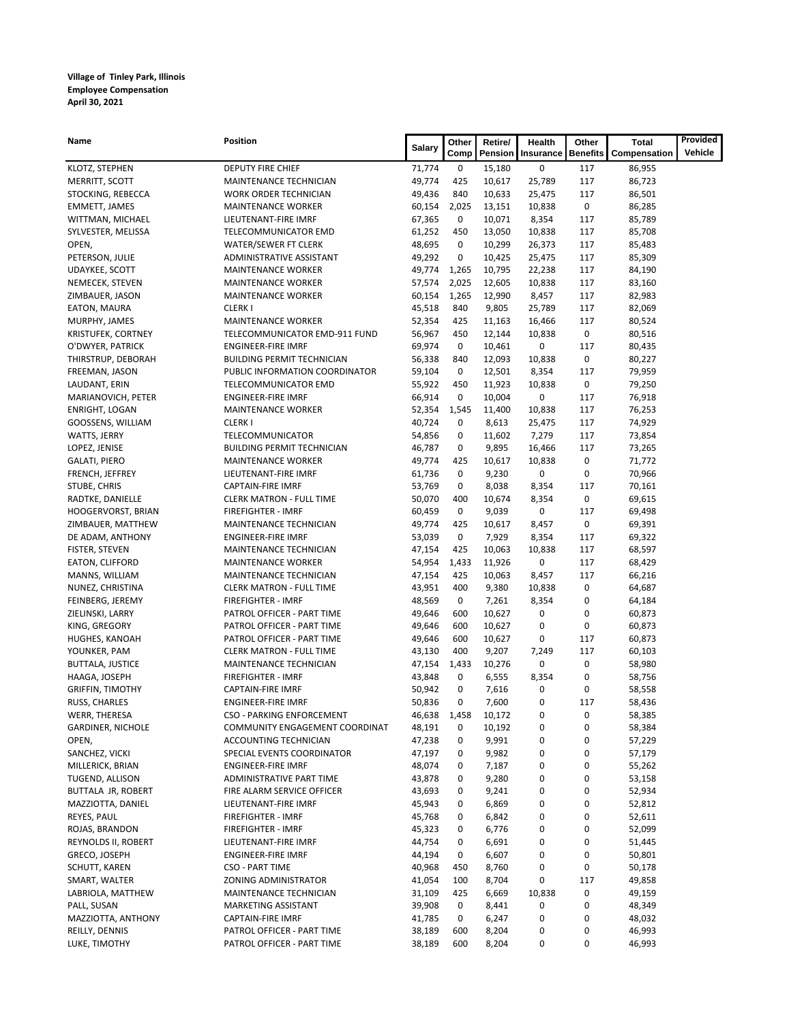| Name                              | Position                                            | <b>Salary</b>    | Other    | Retire/         | Health          | Other              | <b>Total</b>     | Provided |
|-----------------------------------|-----------------------------------------------------|------------------|----------|-----------------|-----------------|--------------------|------------------|----------|
|                                   |                                                     |                  | Comp     | Pension         | Insurance       | <b>Benefits</b>    | Compensation     | Vehicle  |
| KLOTZ, STEPHEN                    | DEPUTY FIRE CHIEF                                   | 71,774           | 0        | 15,180          | 0               | 117                | 86,955           |          |
| MERRITT, SCOTT                    | MAINTENANCE TECHNICIAN                              | 49,774           | 425      | 10,617          | 25,789          | 117                | 86,723           |          |
| STOCKING, REBECCA                 | WORK ORDER TECHNICIAN                               | 49,436           | 840      | 10,633          | 25,475          | 117                | 86,501           |          |
| <b>EMMETT, JAMES</b>              | <b>MAINTENANCE WORKER</b>                           | 60,154           | 2,025    | 13,151          | 10,838          | 0                  | 86,285           |          |
| WITTMAN, MICHAEL                  | LIEUTENANT-FIRE IMRF                                | 67,365           | 0        | 10,071          | 8,354           | 117                | 85,789           |          |
| SYLVESTER, MELISSA                | TELECOMMUNICATOR EMD                                | 61,252           | 450      | 13,050          | 10,838          | 117                | 85,708           |          |
| OPEN,                             | WATER/SEWER FT CLERK                                | 48,695           | 0        | 10,299          | 26,373          | 117                | 85,483           |          |
| PETERSON, JULIE                   | ADMINISTRATIVE ASSISTANT                            | 49,292           | 0        | 10,425          | 25,475          | 117                | 85,309           |          |
| UDAYKEE, SCOTT                    | <b>MAINTENANCE WORKER</b>                           | 49,774           | 1,265    | 10,795          | 22,238          | 117                | 84,190           |          |
| NEMECEK, STEVEN                   | <b>MAINTENANCE WORKER</b>                           | 57,574           | 2,025    | 12,605          | 10,838          | 117                | 83,160           |          |
| ZIMBAUER, JASON                   | <b>MAINTENANCE WORKER</b>                           | 60,154           | 1,265    | 12,990          | 8,457           | 117                | 82,983           |          |
| EATON, MAURA                      | <b>CLERKI</b>                                       | 45,518           | 840      | 9,805           | 25,789          | 117                | 82,069           |          |
| MURPHY, JAMES                     | <b>MAINTENANCE WORKER</b>                           | 52,354           | 425      | 11,163          | 16,466          | 117                | 80,524           |          |
| <b>KRISTUFEK, CORTNEY</b>         | TELECOMMUNICATOR EMD-911 FUND                       | 56,967           | 450      | 12,144          | 10,838          | 0                  | 80,516           |          |
| O'DWYER, PATRICK                  | <b>ENGINEER-FIRE IMRF</b>                           | 69,974           | 0        | 10,461          | 0               | 117                | 80,435           |          |
| THIRSTRUP, DEBORAH                | <b>BUILDING PERMIT TECHNICIAN</b>                   | 56,338           | 840      | 12,093          | 10,838          | 0                  | 80,227           |          |
| FREEMAN, JASON                    | PUBLIC INFORMATION COORDINATOR                      | 59,104           | 0        | 12,501          | 8,354           | 117                | 79,959           |          |
| LAUDANT, ERIN                     | TELECOMMUNICATOR EMD                                | 55,922           | 450      | 11,923          | 10,838          | 0                  | 79,250           |          |
| MARIANOVICH, PETER                | <b>ENGINEER-FIRE IMRF</b>                           | 66,914           | 0        | 10,004          | 0               | 117                | 76,918           |          |
| <b>ENRIGHT, LOGAN</b>             | <b>MAINTENANCE WORKER</b>                           | 52,354           | 1,545    | 11,400          | 10,838          | 117                | 76,253           |          |
| GOOSSENS, WILLIAM                 | <b>CLERKI</b>                                       | 40,724           | 0        | 8,613           | 25,475          | 117                | 74,929           |          |
| WATTS, JERRY                      | TELECOMMUNICATOR                                    | 54,856           | 0        | 11,602          | 7,279           | 117                | 73,854           |          |
| LOPEZ, JENISE                     | <b>BUILDING PERMIT TECHNICIAN</b>                   | 46,787           | 0        | 9,895           | 16,466          | 117                | 73,265           |          |
| <b>GALATI, PIERO</b>              | <b>MAINTENANCE WORKER</b>                           | 49,774           | 425      | 10,617          | 10,838          | 0                  | 71,772           |          |
| FRENCH, JEFFREY                   | LIEUTENANT-FIRE IMRF                                | 61,736           | 0        | 9,230           | 0               | 0                  | 70,966           |          |
| STUBE, CHRIS                      | <b>CAPTAIN-FIRE IMRF</b>                            | 53,769<br>50,070 | 0<br>400 | 8,038           | 8,354           | 117<br>0           | 70,161           |          |
| RADTKE, DANIELLE                  | <b>CLERK MATRON - FULL TIME</b>                     |                  |          | 10,674          | 8,354           |                    | 69,615           |          |
| HOOGERVORST, BRIAN                | FIREFIGHTER - IMRF                                  | 60,459           | 0        | 9,039           | 0               | 117<br>$\mathbf 0$ | 69,498           |          |
| ZIMBAUER, MATTHEW                 | MAINTENANCE TECHNICIAN                              | 49,774<br>53,039 | 425<br>0 | 10,617<br>7,929 | 8,457           | 117                | 69,391<br>69,322 |          |
| DE ADAM, ANTHONY                  | <b>ENGINEER-FIRE IMRF</b><br>MAINTENANCE TECHNICIAN | 47,154           | 425      | 10,063          | 8,354<br>10,838 | 117                |                  |          |
| FISTER, STEVEN                    | <b>MAINTENANCE WORKER</b>                           | 54,954           | 1,433    | 11,926          | 0               | 117                | 68,597           |          |
| EATON, CLIFFORD<br>MANNS, WILLIAM | MAINTENANCE TECHNICIAN                              | 47,154           | 425      | 10,063          | 8,457           | 117                | 68,429<br>66,216 |          |
| NUNEZ, CHRISTINA                  | <b>CLERK MATRON - FULL TIME</b>                     | 43,951           | 400      | 9,380           | 10,838          | 0                  | 64,687           |          |
| FEINBERG, JEREMY                  | <b>FIREFIGHTER - IMRF</b>                           | 48,569           | 0        | 7,261           | 8,354           | 0                  | 64,184           |          |
| ZIELINSKI, LARRY                  | PATROL OFFICER - PART TIME                          | 49,646           | 600      | 10,627          | 0               | 0                  | 60,873           |          |
| KING, GREGORY                     | PATROL OFFICER - PART TIME                          | 49,646           | 600      | 10,627          | 0               | 0                  | 60,873           |          |
| HUGHES, KANOAH                    | PATROL OFFICER - PART TIME                          | 49,646           | 600      | 10,627          | 0               | 117                | 60,873           |          |
| YOUNKER, PAM                      | <b>CLERK MATRON - FULL TIME</b>                     | 43,130           | 400      | 9,207           | 7,249           | 117                | 60,103           |          |
| <b>BUTTALA, JUSTICE</b>           | MAINTENANCE TECHNICIAN                              | 47,154           | 1,433    | 10,276          | 0               | $\mathbf 0$        | 58,980           |          |
| HAAGA, JOSEPH                     | <b>FIREFIGHTER - IMRF</b>                           | 43,848           | 0        | 6,555           | 8,354           | 0                  | 58,756           |          |
| <b>GRIFFIN, TIMOTHY</b>           | CAPTAIN-FIRE IMRF                                   | 50,942           | 0        | 7,616           | 0               | 0                  | 58,558           |          |
| RUSS, CHARLES                     | <b>ENGINEER-FIRE IMRF</b>                           | 50,836           | 0        | 7,600           | 0               | 117                | 58,436           |          |
| WERR, THERESA                     | CSO - PARKING ENFORCEMENT                           | 46,638           | 1,458    | 10,172          | 0               | 0                  | 58,385           |          |
| <b>GARDINER, NICHOLE</b>          | COMMUNITY ENGAGEMENT COORDINAT                      | 48,191           | 0        | 10,192          | 0               | 0                  | 58,384           |          |
| OPEN,                             | ACCOUNTING TECHNICIAN                               | 47,238           | 0        | 9,991           | 0               | 0                  | 57,229           |          |
| SANCHEZ, VICKI                    | SPECIAL EVENTS COORDINATOR                          | 47,197           | 0        | 9,982           | 0               | 0                  | 57,179           |          |
| MILLERICK, BRIAN                  | <b>ENGINEER-FIRE IMRF</b>                           | 48,074           | 0        | 7,187           | 0               | 0                  | 55,262           |          |
| TUGEND, ALLISON                   | ADMINISTRATIVE PART TIME                            | 43,878           | 0        | 9,280           | 0               | 0                  | 53,158           |          |
| BUTTALA JR, ROBERT                | FIRE ALARM SERVICE OFFICER                          | 43,693           | 0        | 9,241           | 0               | 0                  | 52,934           |          |
| MAZZIOTTA, DANIEL                 | LIEUTENANT-FIRE IMRF                                | 45,943           | 0        | 6,869           | 0               | 0                  | 52,812           |          |
| REYES, PAUL                       | <b>FIREFIGHTER - IMRF</b>                           | 45,768           | 0        | 6,842           | 0               | 0                  | 52,611           |          |
| ROJAS, BRANDON                    | <b>FIREFIGHTER - IMRF</b>                           | 45,323           | 0        | 6,776           | 0               | 0                  | 52,099           |          |
| REYNOLDS II, ROBERT               | LIEUTENANT-FIRE IMRF                                | 44,754           | 0        | 6,691           | 0               | 0                  | 51,445           |          |
| GRECO, JOSEPH                     | <b>ENGINEER-FIRE IMRF</b>                           | 44,194           | 0        | 6,607           | 0               | 0                  | 50,801           |          |
| SCHUTT, KAREN                     | CSO - PART TIME                                     | 40,968           | 450      | 8,760           | 0               | 0                  | 50,178           |          |
| SMART, WALTER                     | ZONING ADMINISTRATOR                                | 41,054           | 100      | 8,704           | 0               | 117                | 49,858           |          |
| LABRIOLA, MATTHEW                 | MAINTENANCE TECHNICIAN                              | 31,109           | 425      | 6,669           | 10,838          | 0                  | 49,159           |          |
| PALL, SUSAN                       | MARKETING ASSISTANT                                 | 39,908           | 0        | 8,441           | 0               | 0                  | 48,349           |          |
| MAZZIOTTA, ANTHONY                | <b>CAPTAIN-FIRE IMRF</b>                            | 41,785           | 0        | 6,247           | 0               | 0                  | 48,032           |          |
| REILLY, DENNIS                    | PATROL OFFICER - PART TIME                          | 38,189           | 600      | 8,204           | 0               | 0                  | 46,993           |          |
| LUKE, TIMOTHY                     | PATROL OFFICER - PART TIME                          | 38,189           | 600      | 8,204           | 0               | 0                  | 46,993           |          |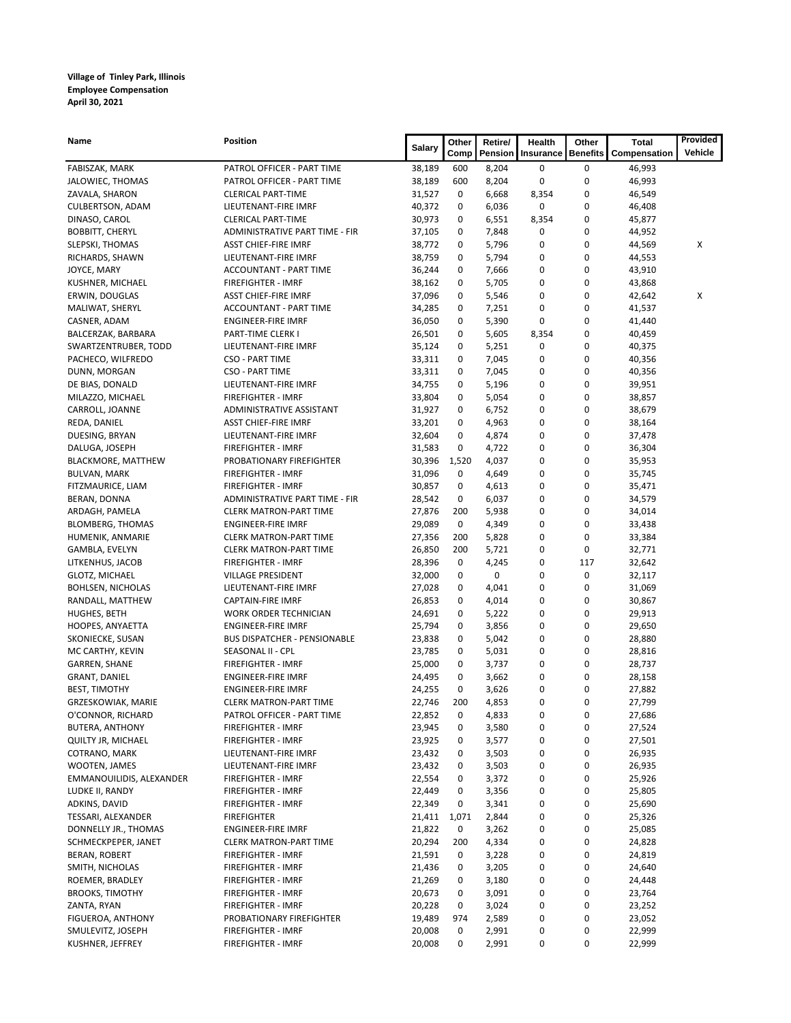| Name                                | Position                                            | <b>Salary</b>    | Other  | Retire/        | Health    | Other           | <b>Total</b>     | Provided |
|-------------------------------------|-----------------------------------------------------|------------------|--------|----------------|-----------|-----------------|------------------|----------|
|                                     |                                                     |                  | Comp   | Pension        | Insurance | <b>Benefits</b> | Compensation     | Vehicle  |
| FABISZAK, MARK                      | PATROL OFFICER - PART TIME                          | 38,189           | 600    | 8,204          | 0         | 0               | 46,993           |          |
| JALOWIEC, THOMAS                    | PATROL OFFICER - PART TIME                          | 38,189           | 600    | 8,204          | 0         | 0               | 46,993           |          |
| ZAVALA, SHARON                      | <b>CLERICAL PART-TIME</b>                           | 31,527           | 0      | 6,668          | 8,354     | 0               | 46,549           |          |
| <b>CULBERTSON, ADAM</b>             | LIEUTENANT-FIRE IMRF                                | 40,372           | 0      | 6,036          | 0         | 0               | 46,408           |          |
| DINASO, CAROL                       | <b>CLERICAL PART-TIME</b>                           | 30,973           | 0      | 6,551          | 8,354     | 0               | 45,877           |          |
| <b>BOBBITT, CHERYL</b>              | ADMINISTRATIVE PART TIME - FIR                      | 37,105           | 0      | 7,848          | 0         | 0               | 44,952           |          |
| SLEPSKI, THOMAS                     | <b>ASST CHIEF-FIRE IMRF</b>                         | 38,772           | 0      | 5,796          | 0         | 0               | 44,569           | х        |
| RICHARDS, SHAWN                     | LIEUTENANT-FIRE IMRF                                | 38,759           | 0      | 5,794          | 0         | 0               | 44,553           |          |
| JOYCE, MARY                         | ACCOUNTANT - PART TIME<br><b>FIREFIGHTER - IMRF</b> | 36,244           | 0<br>0 | 7,666          | 0         | 0<br>0          | 43,910           |          |
| KUSHNER, MICHAEL                    | <b>ASST CHIEF-FIRE IMRF</b>                         | 38,162<br>37,096 | 0      | 5,705<br>5,546 | 0<br>0    | 0               | 43,868           | х        |
| ERWIN, DOUGLAS<br>MALIWAT, SHERYL   | ACCOUNTANT - PART TIME                              | 34,285           | 0      | 7,251          | 0         | 0               | 42,642<br>41,537 |          |
| CASNER, ADAM                        | <b>ENGINEER-FIRE IMRF</b>                           | 36,050           | 0      | 5,390          | 0         | 0               | 41,440           |          |
| BALCERZAK, BARBARA                  | PART-TIME CLERK I                                   | 26,501           | 0      | 5,605          | 8,354     | 0               | 40,459           |          |
| SWARTZENTRUBER, TODD                | LIEUTENANT-FIRE IMRF                                | 35,124           | 0      | 5,251          | 0         | 0               | 40,375           |          |
| PACHECO, WILFREDO                   | CSO - PART TIME                                     | 33,311           | 0      | 7,045          | 0         | 0               | 40,356           |          |
| DUNN, MORGAN                        | <b>CSO - PART TIME</b>                              | 33,311           | 0      | 7,045          | 0         | 0               | 40,356           |          |
| DE BIAS, DONALD                     | LIEUTENANT-FIRE IMRF                                | 34,755           | 0      | 5,196          | 0         | 0               | 39,951           |          |
| MILAZZO, MICHAEL                    | <b>FIREFIGHTER - IMRF</b>                           | 33,804           | 0      | 5,054          | 0         | 0               | 38,857           |          |
| CARROLL, JOANNE                     | ADMINISTRATIVE ASSISTANT                            | 31,927           | 0      | 6,752          | 0         | 0               | 38,679           |          |
| REDA, DANIEL                        | <b>ASST CHIEF-FIRE IMRF</b>                         | 33,201           | 0      | 4,963          | 0         | 0               | 38,164           |          |
| DUESING, BRYAN                      | LIEUTENANT-FIRE IMRF                                | 32,604           | 0      | 4,874          | 0         | 0               | 37,478           |          |
| DALUGA, JOSEPH                      | FIREFIGHTER - IMRF                                  | 31,583           | 0      | 4,722          | 0         | $\mathbf 0$     | 36,304           |          |
| <b>BLACKMORE, MATTHEW</b>           | PROBATIONARY FIREFIGHTER                            | 30,396           | 1,520  | 4,037          | 0         | 0               | 35,953           |          |
| <b>BULVAN, MARK</b>                 | FIREFIGHTER - IMRF                                  | 31,096           | 0      | 4,649          | 0         | 0               | 35,745           |          |
| FITZMAURICE, LIAM                   | FIREFIGHTER - IMRF                                  | 30,857           | 0      | 4,613          | 0         | 0               | 35,471           |          |
| BERAN, DONNA                        | ADMINISTRATIVE PART TIME - FIR                      | 28,542           | 0      | 6,037          | 0         | 0               | 34,579           |          |
| ARDAGH, PAMELA                      | <b>CLERK MATRON-PART TIME</b>                       | 27,876           | 200    | 5,938          | 0         | 0               | 34,014           |          |
| <b>BLOMBERG, THOMAS</b>             | <b>ENGINEER-FIRE IMRF</b>                           | 29,089           | 0      | 4,349          | 0         | 0               | 33,438           |          |
| HUMENIK, ANMARIE                    | <b>CLERK MATRON-PART TIME</b>                       | 27,356           | 200    | 5,828          | 0         | 0               | 33,384           |          |
| GAMBLA, EVELYN                      | <b>CLERK MATRON-PART TIME</b>                       | 26,850           | 200    | 5,721          | 0         | 0               | 32,771           |          |
| LITKENHUS, JACOB                    | FIREFIGHTER - IMRF                                  | 28,396           | 0      | 4,245          | 0         | 117             | 32,642           |          |
| GLOTZ, MICHAEL                      | <b>VILLAGE PRESIDENT</b>                            | 32,000           | 0      | 0              | 0         | 0               | 32,117           |          |
| <b>BOHLSEN, NICHOLAS</b>            | LIEUTENANT-FIRE IMRF                                | 27,028           | 0      | 4,041          | 0         | 0               | 31,069           |          |
| RANDALL, MATTHEW                    | <b>CAPTAIN-FIRE IMRF</b>                            | 26,853           | 0      | 4,014          | 0         | 0               | 30,867           |          |
| HUGHES, BETH                        | <b>WORK ORDER TECHNICIAN</b>                        | 24,691           | 0      | 5,222          | 0         | 0               | 29,913           |          |
| HOOPES, ANYAETTA                    | <b>ENGINEER-FIRE IMRF</b>                           | 25,794           | 0      | 3,856          | 0         | $\mathbf 0$     | 29,650           |          |
| SKONIECKE, SUSAN                    | <b>BUS DISPATCHER - PENSIONABLE</b>                 | 23,838           | 0      | 5,042          | 0         | 0               | 28,880           |          |
| MC CARTHY, KEVIN                    | SEASONAL II - CPL                                   | 23,785           | 0      | 5,031          | 0         | 0               | 28,816           |          |
| <b>GARREN, SHANE</b>                | FIREFIGHTER - IMRF                                  | 25,000           | 0      | 3,737          | 0         | 0               | 28,737           |          |
| GRANT, DANIEL                       | <b>ENGINEER-FIRE IMRF</b>                           | 24,495           | 0      | 3,662          | 0         | 0               | 28,158           |          |
| <b>BEST, TIMOTHY</b>                | <b>ENGINEER-FIRE IMRF</b>                           | 24,255           | 0      | 3,626          | 0         | 0               | 27,882           |          |
| GRZESKOWIAK, MARIE                  | <b>CLERK MATRON-PART TIME</b>                       | 22,746           | 200    | 4,853          | 0         | 0               | 27,799           |          |
| O'CONNOR, RICHARD                   | PATROL OFFICER - PART TIME                          | 22,852           | 0      | 4,833          | 0         | 0               | 27,686           |          |
| <b>BUTERA, ANTHONY</b>              | <b>FIREFIGHTER - IMRF</b>                           | 23,945           | 0      | 3,580          | 0         | 0               | 27,524           |          |
| QUILTY JR, MICHAEL<br>COTRANO, MARK | FIREFIGHTER - IMRF                                  | 23,925           | 0<br>0 | 3,577          | 0         | 0<br>0          | 27,501           |          |
| WOOTEN, JAMES                       | LIEUTENANT-FIRE IMRF<br>LIEUTENANT-FIRE IMRF        | 23,432<br>23,432 | 0      | 3,503<br>3,503 | 0<br>0    | 0               | 26,935<br>26,935 |          |
| EMMANOUILIDIS, ALEXANDER            | <b>FIREFIGHTER - IMRF</b>                           | 22,554           | 0      | 3,372          | 0         | 0               | 25,926           |          |
| LUDKE II, RANDY                     | FIREFIGHTER - IMRF                                  | 22,449           | 0      | 3,356          | 0         | 0               | 25,805           |          |
| ADKINS, DAVID                       | FIREFIGHTER - IMRF                                  | 22,349           | 0      | 3,341          | 0         | 0               | 25,690           |          |
| TESSARI, ALEXANDER                  | <b>FIREFIGHTER</b>                                  | 21,411           | 1,071  | 2,844          | 0         | 0               | 25,326           |          |
| DONNELLY JR., THOMAS                | <b>ENGINEER-FIRE IMRF</b>                           | 21,822           | 0      | 3,262          | 0         | 0               | 25,085           |          |
| SCHMECKPEPER, JANET                 | <b>CLERK MATRON-PART TIME</b>                       | 20,294           | 200    | 4,334          | 0         | 0               | 24,828           |          |
| BERAN, ROBERT                       | FIREFIGHTER - IMRF                                  | 21,591           | 0      | 3,228          | 0         | 0               | 24,819           |          |
| SMITH, NICHOLAS                     | FIREFIGHTER - IMRF                                  | 21,436           | 0      | 3,205          | 0         | 0               | 24,640           |          |
| ROEMER, BRADLEY                     | FIREFIGHTER - IMRF                                  | 21,269           | 0      | 3,180          | 0         | 0               | 24,448           |          |
| <b>BROOKS, TIMOTHY</b>              | FIREFIGHTER - IMRF                                  | 20,673           | 0      | 3,091          | 0         | 0               | 23,764           |          |
| ZANTA, RYAN                         | FIREFIGHTER - IMRF                                  | 20,228           | 0      | 3,024          | 0         | 0               | 23,252           |          |
| FIGUEROA, ANTHONY                   | PROBATIONARY FIREFIGHTER                            | 19,489           | 974    | 2,589          | 0         | 0               | 23,052           |          |
| SMULEVITZ, JOSEPH                   | FIREFIGHTER - IMRF                                  | 20,008           | 0      | 2,991          | 0         | 0               | 22,999           |          |
| KUSHNER, JEFFREY                    | FIREFIGHTER - IMRF                                  | 20,008           | 0      | 2,991          | 0         | 0               | 22,999           |          |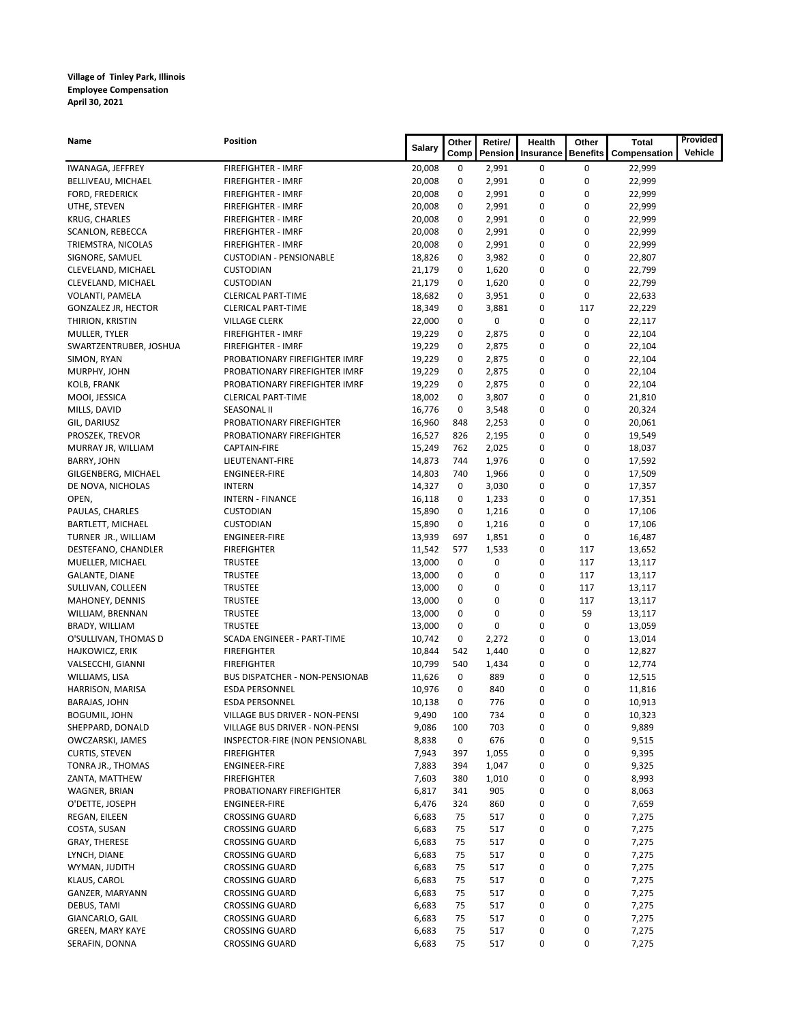| Name                                       | <b>Position</b>                                        | Salary           | Other    | Retire/        | Health    | Other           | <b>Total</b>     | Provided |
|--------------------------------------------|--------------------------------------------------------|------------------|----------|----------------|-----------|-----------------|------------------|----------|
|                                            |                                                        |                  | Comp     | Pension        | Insurance | <b>Benefits</b> | Compensation     | Vehicle  |
| IWANAGA, JEFFREY                           | <b>FIREFIGHTER - IMRF</b>                              | 20,008           | 0        | 2,991          | 0         | 0               | 22,999           |          |
| BELLIVEAU, MICHAEL                         | <b>FIREFIGHTER - IMRF</b>                              | 20,008           | 0        | 2,991          | 0         | 0               | 22,999           |          |
| FORD, FREDERICK                            | <b>FIREFIGHTER - IMRF</b>                              | 20,008           | 0        | 2,991          | 0         | 0               | 22,999           |          |
| UTHE, STEVEN                               | <b>FIREFIGHTER - IMRF</b>                              | 20,008           | 0        | 2,991          | 0         | 0               | 22,999           |          |
| <b>KRUG, CHARLES</b>                       | <b>FIREFIGHTER - IMRF</b>                              | 20,008           | 0        | 2,991          | 0         | 0               | 22,999           |          |
| SCANLON, REBECCA                           | <b>FIREFIGHTER - IMRF</b>                              | 20,008           | 0        | 2,991          | 0         | 0               | 22,999           |          |
| TRIEMSTRA, NICOLAS                         | <b>FIREFIGHTER - IMRF</b>                              | 20,008           | 0        | 2,991          | 0         | $\mathbf 0$     | 22,999           |          |
| SIGNORE, SAMUEL                            | <b>CUSTODIAN - PENSIONABLE</b>                         | 18,826           | 0        | 3,982          | 0         | 0               | 22,807           |          |
| CLEVELAND, MICHAEL                         | <b>CUSTODIAN</b>                                       | 21,179           | 0        | 1,620          | 0         | 0               | 22,799           |          |
| CLEVELAND, MICHAEL                         | <b>CUSTODIAN</b>                                       | 21,179           | 0        | 1,620          | 0         | 0<br>0          | 22,799           |          |
| VOLANTI, PAMELA                            | <b>CLERICAL PART-TIME</b><br><b>CLERICAL PART-TIME</b> | 18,682           | 0<br>0   | 3,951<br>3,881 | 0<br>0    | 117             | 22,633<br>22,229 |          |
| <b>GONZALEZ JR, HECTOR</b>                 | <b>VILLAGE CLERK</b>                                   | 18,349           | 0        | 0              | 0         | $\mathbf 0$     | 22,117           |          |
| THIRION, KRISTIN<br>MULLER, TYLER          | <b>FIREFIGHTER - IMRF</b>                              | 22,000<br>19,229 | 0        | 2,875          | 0         | 0               | 22,104           |          |
| SWARTZENTRUBER, JOSHUA                     | <b>FIREFIGHTER - IMRF</b>                              | 19,229           | 0        | 2,875          | 0         | 0               | 22,104           |          |
| SIMON, RYAN                                | PROBATIONARY FIREFIGHTER IMRF                          | 19,229           | 0        | 2,875          | 0         | 0               | 22,104           |          |
| MURPHY, JOHN                               | PROBATIONARY FIREFIGHTER IMRF                          | 19,229           | 0        | 2,875          | 0         | 0               | 22,104           |          |
| KOLB, FRANK                                | PROBATIONARY FIREFIGHTER IMRF                          | 19,229           | 0        | 2,875          | 0         | 0               | 22,104           |          |
| MOOI, JESSICA                              | <b>CLERICAL PART-TIME</b>                              | 18,002           | 0        | 3,807          | 0         | 0               | 21,810           |          |
| MILLS, DAVID                               | <b>SEASONAL II</b>                                     | 16,776           | 0        | 3,548          | 0         | 0               | 20,324           |          |
| GIL, DARIUSZ                               | PROBATIONARY FIREFIGHTER                               | 16,960           | 848      | 2,253          | 0         | $\mathbf 0$     | 20,061           |          |
| PROSZEK, TREVOR                            | PROBATIONARY FIREFIGHTER                               | 16,527           | 826      | 2,195          | 0         | 0               | 19,549           |          |
| MURRAY JR, WILLIAM                         | CAPTAIN-FIRE                                           | 15,249           | 762      | 2,025          | 0         | 0               | 18,037           |          |
| <b>BARRY, JOHN</b>                         | LIEUTENANT-FIRE                                        | 14,873           | 744      | 1,976          | 0         | 0               | 17,592           |          |
| GILGENBERG, MICHAEL                        | <b>ENGINEER-FIRE</b>                                   | 14,803           | 740      | 1,966          | 0         | 0               | 17,509           |          |
| DE NOVA, NICHOLAS                          | <b>INTERN</b>                                          | 14,327           | 0        | 3,030          | 0         | $\mathbf 0$     | 17,357           |          |
| OPEN,                                      | <b>INTERN - FINANCE</b>                                | 16,118           | 0        | 1,233          | 0         | 0               | 17,351           |          |
| PAULAS, CHARLES                            | CUSTODIAN                                              | 15,890           | 0        | 1,216          | 0         | 0               | 17,106           |          |
| BARTLETT, MICHAEL                          | <b>CUSTODIAN</b>                                       | 15,890           | 0        | 1,216          | 0         | $\mathbf 0$     | 17,106           |          |
| TURNER JR., WILLIAM                        | <b>ENGINEER-FIRE</b>                                   | 13,939           | 697      | 1,851          | 0         | 0               | 16,487           |          |
| DESTEFANO, CHANDLER                        | <b>FIREFIGHTER</b>                                     | 11,542           | 577      | 1,533          | 0         | 117             | 13,652           |          |
| MUELLER, MICHAEL                           | <b>TRUSTEE</b>                                         | 13,000           | 0        | 0              | 0         | 117             | 13,117           |          |
| <b>GALANTE, DIANE</b>                      | <b>TRUSTEE</b>                                         | 13,000           | 0        | 0              | 0         | 117             | 13,117           |          |
| SULLIVAN, COLLEEN                          | <b>TRUSTEE</b>                                         | 13,000           | 0        | 0              | 0         | 117             | 13,117           |          |
| MAHONEY, DENNIS                            | <b>TRUSTEE</b>                                         | 13,000           | 0        | $\mathbf 0$    | 0         | 117             | 13,117           |          |
| WILLIAM, BRENNAN                           | <b>TRUSTEE</b>                                         | 13,000           | 0        | 0              | 0         | 59              | 13,117           |          |
| BRADY, WILLIAM                             | <b>TRUSTEE</b>                                         | 13,000           | 0        | 0              | 0         | 0               | 13,059           |          |
| O'SULLIVAN, THOMAS D                       | SCADA ENGINEER - PART-TIME                             | 10,742           | 0        | 2,272          | 0         | 0               | 13,014           |          |
| HAJKOWICZ, ERIK                            | <b>FIREFIGHTER</b>                                     | 10,844           | 542      | 1,440          | 0         | 0               | 12,827           |          |
| VALSECCHI, GIANNI                          | <b>FIREFIGHTER</b>                                     | 10,799           | 540      | 1,434          | 0         | 0               | 12,774           |          |
| WILLIAMS, LISA                             | <b>BUS DISPATCHER - NON-PENSIONAB</b>                  | 11,626           | 0        | 889            | 0         | 0               | 12,515           |          |
| HARRISON, MARISA                           | <b>ESDA PERSONNEL</b>                                  | 10,976           | 0        | 840            | 0         | 0               | 11,816           |          |
| BARAJAS, JOHN                              | <b>ESDA PERSONNEL</b>                                  | 10,138           | 0        | 776            | 0         | 0               | 10,913           |          |
| BOGUMIL, JOHN                              | VILLAGE BUS DRIVER - NON-PENSI                         | 9,490            | 100      | 734            | 0         | 0               | 10,323           |          |
| SHEPPARD, DONALD<br>OWCZARSKI, JAMES       | VILLAGE BUS DRIVER - NON-PENSI                         | 9,086            | 100      | 703            | 0         | 0               | 9,889            |          |
|                                            | INSPECTOR-FIRE (NON PENSIONABL<br><b>FIREFIGHTER</b>   | 8,838            | 0<br>397 | 676<br>1,055   | 0<br>0    | 0<br>0          | 9,515<br>9,395   |          |
| <b>CURTIS, STEVEN</b><br>TONRA JR., THOMAS | ENGINEER-FIRE                                          | 7,943<br>7,883   | 394      | 1,047          | 0         | 0               | 9,325            |          |
| ZANTA, MATTHEW                             | <b>FIREFIGHTER</b>                                     | 7,603            | 380      | 1,010          | 0         | 0               | 8,993            |          |
| WAGNER, BRIAN                              | PROBATIONARY FIREFIGHTER                               | 6,817            | 341      | 905            | 0         | 0               | 8,063            |          |
| O'DETTE, JOSEPH                            | ENGINEER-FIRE                                          | 6,476            | 324      | 860            | 0         | 0               | 7,659            |          |
| REGAN, EILEEN                              | <b>CROSSING GUARD</b>                                  | 6,683            | 75       | 517            | 0         | 0               | 7,275            |          |
| COSTA, SUSAN                               | <b>CROSSING GUARD</b>                                  | 6,683            | 75       | 517            | 0         | 0               | 7,275            |          |
| <b>GRAY, THERESE</b>                       | <b>CROSSING GUARD</b>                                  | 6,683            | 75       | 517            | 0         | 0               | 7,275            |          |
| LYNCH, DIANE                               | <b>CROSSING GUARD</b>                                  | 6,683            | 75       | 517            | 0         | 0               | 7,275            |          |
| WYMAN, JUDITH                              | <b>CROSSING GUARD</b>                                  | 6,683            | 75       | 517            | 0         | 0               | 7,275            |          |
| KLAUS, CAROL                               | <b>CROSSING GUARD</b>                                  | 6,683            | 75       | 517            | 0         | 0               | 7,275            |          |
| GANZER, MARYANN                            | <b>CROSSING GUARD</b>                                  | 6,683            | 75       | 517            | 0         | 0               | 7,275            |          |
| DEBUS, TAMI                                | <b>CROSSING GUARD</b>                                  | 6,683            | 75       | 517            | 0         | 0               | 7,275            |          |
| GIANCARLO, GAIL                            | <b>CROSSING GUARD</b>                                  | 6,683            | 75       | 517            | 0         | 0               | 7,275            |          |
| GREEN, MARY KAYE                           | <b>CROSSING GUARD</b>                                  | 6,683            | 75       | 517            | 0         | 0               | 7,275            |          |
| SERAFIN, DONNA                             | <b>CROSSING GUARD</b>                                  | 6,683            | 75       | 517            | 0         | 0               | 7,275            |          |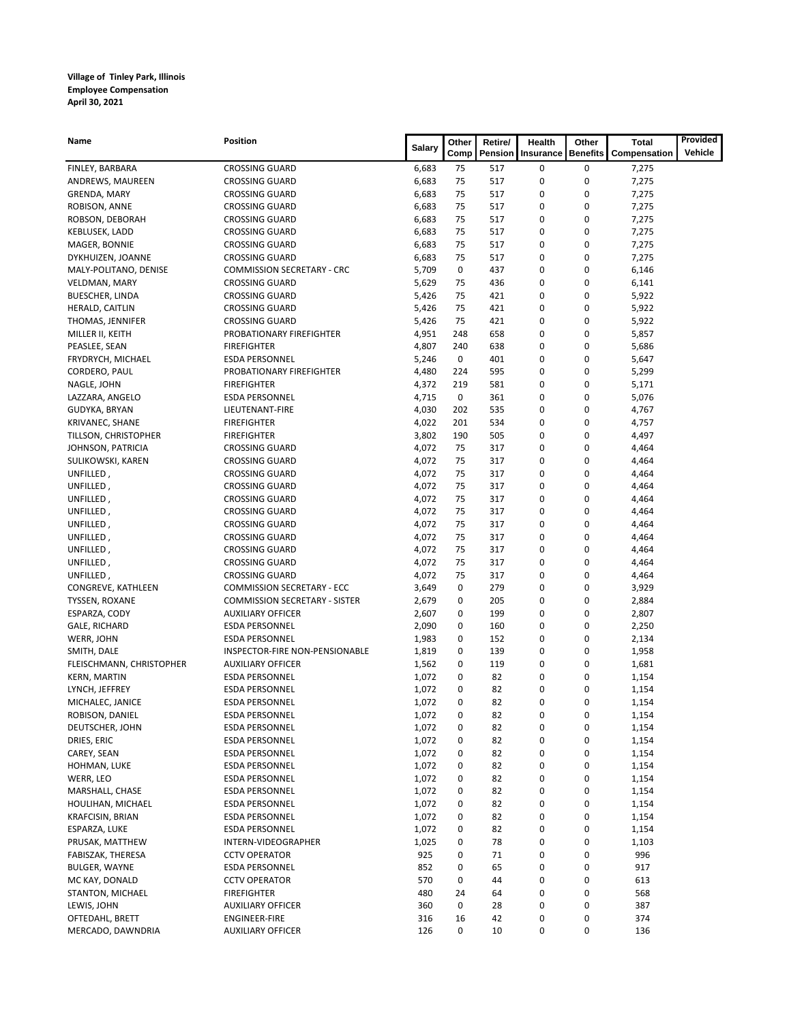| Name                     | Position                             |               | Other | Retire/ | Health    | Other           | <b>Total</b> | Provided |
|--------------------------|--------------------------------------|---------------|-------|---------|-----------|-----------------|--------------|----------|
|                          |                                      | <b>Salary</b> | Comp  | Pension | Insurance | <b>Benefits</b> | Compensation | Vehicle  |
| FINLEY, BARBARA          | <b>CROSSING GUARD</b>                | 6,683         | 75    | 517     | 0         | 0               | 7,275        |          |
|                          | <b>CROSSING GUARD</b>                | 6,683         | 75    | 517     | 0         | 0               | 7,275        |          |
| ANDREWS, MAUREEN         |                                      | 6,683         | 75    | 517     | 0         | 0               |              |          |
| GRENDA, MARY             | <b>CROSSING GUARD</b>                | 6,683         | 75    | 517     | 0         | 0               | 7,275        |          |
| ROBISON, ANNE            | <b>CROSSING GUARD</b>                |               |       |         |           |                 | 7,275        |          |
| ROBSON, DEBORAH          | <b>CROSSING GUARD</b>                | 6,683         | 75    | 517     | 0         | 0               | 7,275        |          |
| KEBLUSEK, LADD           | <b>CROSSING GUARD</b>                | 6,683         | 75    | 517     | 0         | 0               | 7,275        |          |
| MAGER, BONNIE            | <b>CROSSING GUARD</b>                | 6,683         | 75    | 517     | 0         | 0               | 7,275        |          |
| DYKHUIZEN, JOANNE        | <b>CROSSING GUARD</b>                | 6,683         | 75    | 517     | 0         | 0               | 7,275        |          |
| MALY-POLITANO, DENISE    | <b>COMMISSION SECRETARY - CRC</b>    | 5,709         | 0     | 437     | 0         | 0               | 6,146        |          |
| VELDMAN, MARY            | <b>CROSSING GUARD</b>                | 5,629         | 75    | 436     | 0         | 0               | 6,141        |          |
| BUESCHER, LINDA          | <b>CROSSING GUARD</b>                | 5,426         | 75    | 421     | 0         | 0               | 5,922        |          |
| HERALD, CAITLIN          | <b>CROSSING GUARD</b>                | 5,426         | 75    | 421     | 0         | 0               | 5,922        |          |
| THOMAS, JENNIFER         | <b>CROSSING GUARD</b>                | 5,426         | 75    | 421     | 0         | 0               | 5,922        |          |
| MILLER II, KEITH         | PROBATIONARY FIREFIGHTER             | 4,951         | 248   | 658     | 0         | 0               | 5,857        |          |
| PEASLEE, SEAN            | <b>FIREFIGHTER</b>                   | 4,807         | 240   | 638     | 0         | 0               | 5,686        |          |
| FRYDRYCH, MICHAEL        | <b>ESDA PERSONNEL</b>                | 5,246         | 0     | 401     | 0         | 0               | 5,647        |          |
| CORDERO, PAUL            | PROBATIONARY FIREFIGHTER             | 4,480         | 224   | 595     | 0         | 0               | 5,299        |          |
| NAGLE, JOHN              | <b>FIREFIGHTER</b>                   | 4,372         | 219   | 581     | 0         | 0               | 5,171        |          |
| LAZZARA, ANGELO          | <b>ESDA PERSONNEL</b>                | 4,715         | 0     | 361     | 0         | 0               | 5,076        |          |
| GUDYKA, BRYAN            | LIEUTENANT-FIRE                      | 4,030         | 202   | 535     | 0         | 0               | 4,767        |          |
| KRIVANEC, SHANE          | <b>FIREFIGHTER</b>                   | 4,022         | 201   | 534     | 0         | 0               | 4,757        |          |
| TILLSON, CHRISTOPHER     | <b>FIREFIGHTER</b>                   | 3,802         | 190   | 505     | 0         | 0               | 4,497        |          |
| JOHNSON, PATRICIA        | <b>CROSSING GUARD</b>                | 4,072         | 75    | 317     | 0         | 0               | 4,464        |          |
| SULIKOWSKI, KAREN        | <b>CROSSING GUARD</b>                | 4,072         | 75    | 317     | 0         | 0               | 4,464        |          |
| UNFILLED,                | <b>CROSSING GUARD</b>                | 4,072         | 75    | 317     | 0         | 0               | 4,464        |          |
| UNFILLED,                | <b>CROSSING GUARD</b>                | 4,072         | 75    | 317     | 0         | 0               | 4,464        |          |
| UNFILLED,                | <b>CROSSING GUARD</b>                | 4,072         | 75    | 317     | 0         | 0               | 4,464        |          |
| UNFILLED,                | <b>CROSSING GUARD</b>                | 4,072         | 75    | 317     | 0         | 0               | 4,464        |          |
| UNFILLED,                | <b>CROSSING GUARD</b>                | 4,072         | 75    | 317     | 0         | 0               | 4,464        |          |
| UNFILLED,                | <b>CROSSING GUARD</b>                | 4,072         | 75    | 317     | 0         | 0               | 4,464        |          |
| UNFILLED,                | <b>CROSSING GUARD</b>                | 4,072         | 75    | 317     | 0         | 0               | 4,464        |          |
| UNFILLED,                | <b>CROSSING GUARD</b>                | 4,072         | 75    | 317     | 0         | 0               | 4,464        |          |
| UNFILLED,                | <b>CROSSING GUARD</b>                | 4,072         | 75    | 317     | 0         | 0               | 4,464        |          |
| CONGREVE, KATHLEEN       | <b>COMMISSION SECRETARY - ECC</b>    | 3,649         | 0     | 279     | 0         | 0               | 3,929        |          |
| TYSSEN, ROXANE           | <b>COMMISSION SECRETARY - SISTER</b> | 2,679         | 0     | 205     | 0         | 0               | 2,884        |          |
| ESPARZA, CODY            | <b>AUXILIARY OFFICER</b>             | 2,607         | 0     | 199     | 0         | 0               | 2,807        |          |
| GALE, RICHARD            | <b>ESDA PERSONNEL</b>                | 2,090         | 0     | 160     | 0         | 0               | 2,250        |          |
| WERR, JOHN               | <b>ESDA PERSONNEL</b>                | 1,983         | 0     | 152     | 0         | 0               | 2,134        |          |
| SMITH, DALE              | INSPECTOR-FIRE NON-PENSIONABLE       | 1,819         | 0     | 139     | 0         | 0               | 1,958        |          |
| FLEISCHMANN, CHRISTOPHER | <b>AUXILIARY OFFICER</b>             | 1,562         | 0     | 119     | 0         | 0               | 1,681        |          |
| <b>KERN, MARTIN</b>      | <b>ESDA PERSONNEL</b>                | 1,072         | 0     | 82      | 0         | 0               | 1,154        |          |
| LYNCH, JEFFREY           | <b>ESDA PERSONNEL</b>                | 1,072         | 0     | 82      | 0         | 0               | 1,154        |          |
| MICHALEC, JANICE         | <b>ESDA PERSONNEL</b>                | 1,072         | 0     | 82      | 0         | 0               | 1,154        |          |
| ROBISON, DANIEL          | ESDA PERSONNEL                       | 1,072         | 0     | 82      | 0         | 0               | 1,154        |          |
| DEUTSCHER, JOHN          | <b>ESDA PERSONNEL</b>                | 1,072         | 0     | 82      | 0         | 0               | 1,154        |          |
| DRIES, ERIC              | ESDA PERSONNEL                       | 1,072         | 0     | 82      | 0         | 0               | 1,154        |          |
| CAREY, SEAN              | ESDA PERSONNEL                       | 1,072         | 0     | 82      | 0         | 0               | 1,154        |          |
| HOHMAN, LUKE             | <b>ESDA PERSONNEL</b>                | 1,072         | 0     | 82      | 0         | 0               | 1,154        |          |
| WERR, LEO                | <b>ESDA PERSONNEL</b>                | 1,072         | 0     | 82      | 0         | 0               | 1,154        |          |
| MARSHALL, CHASE          | ESDA PERSONNEL                       | 1,072         | 0     | 82      | 0         | 0               | 1,154        |          |
| HOULIHAN, MICHAEL        | <b>ESDA PERSONNEL</b>                | 1,072         | 0     | 82      | 0         | 0               | 1,154        |          |
| KRAFCISIN, BRIAN         | <b>ESDA PERSONNEL</b>                | 1,072         | 0     | 82      | 0         | 0               | 1,154        |          |
| ESPARZA, LUKE            | <b>ESDA PERSONNEL</b>                | 1,072         | 0     | 82      | 0         | 0               | 1,154        |          |
| PRUSAK, MATTHEW          | INTERN-VIDEOGRAPHER                  | 1,025         | 0     | 78      | 0         | 0               | 1,103        |          |
| FABISZAK, THERESA        | <b>CCTV OPERATOR</b>                 | 925           | 0     | 71      | 0         | 0               | 996          |          |
| BULGER, WAYNE            | <b>ESDA PERSONNEL</b>                | 852           | 0     | 65      | 0         | 0               | 917          |          |
| MC KAY, DONALD           | <b>CCTV OPERATOR</b>                 | 570           | 0     | 44      | 0         | 0               | 613          |          |
| STANTON, MICHAEL         | <b>FIREFIGHTER</b>                   | 480           | 24    | 64      | 0         | 0               | 568          |          |
| LEWIS, JOHN              | <b>AUXILIARY OFFICER</b>             | 360           | 0     | 28      | 0         | 0               | 387          |          |
| OFTEDAHL, BRETT          | ENGINEER-FIRE                        | 316           | 16    | 42      | 0         | 0               | 374          |          |
| MERCADO, DAWNDRIA        | <b>AUXILIARY OFFICER</b>             | 126           | 0     | 10      | 0         | 0               | 136          |          |
|                          |                                      |               |       |         |           |                 |              |          |